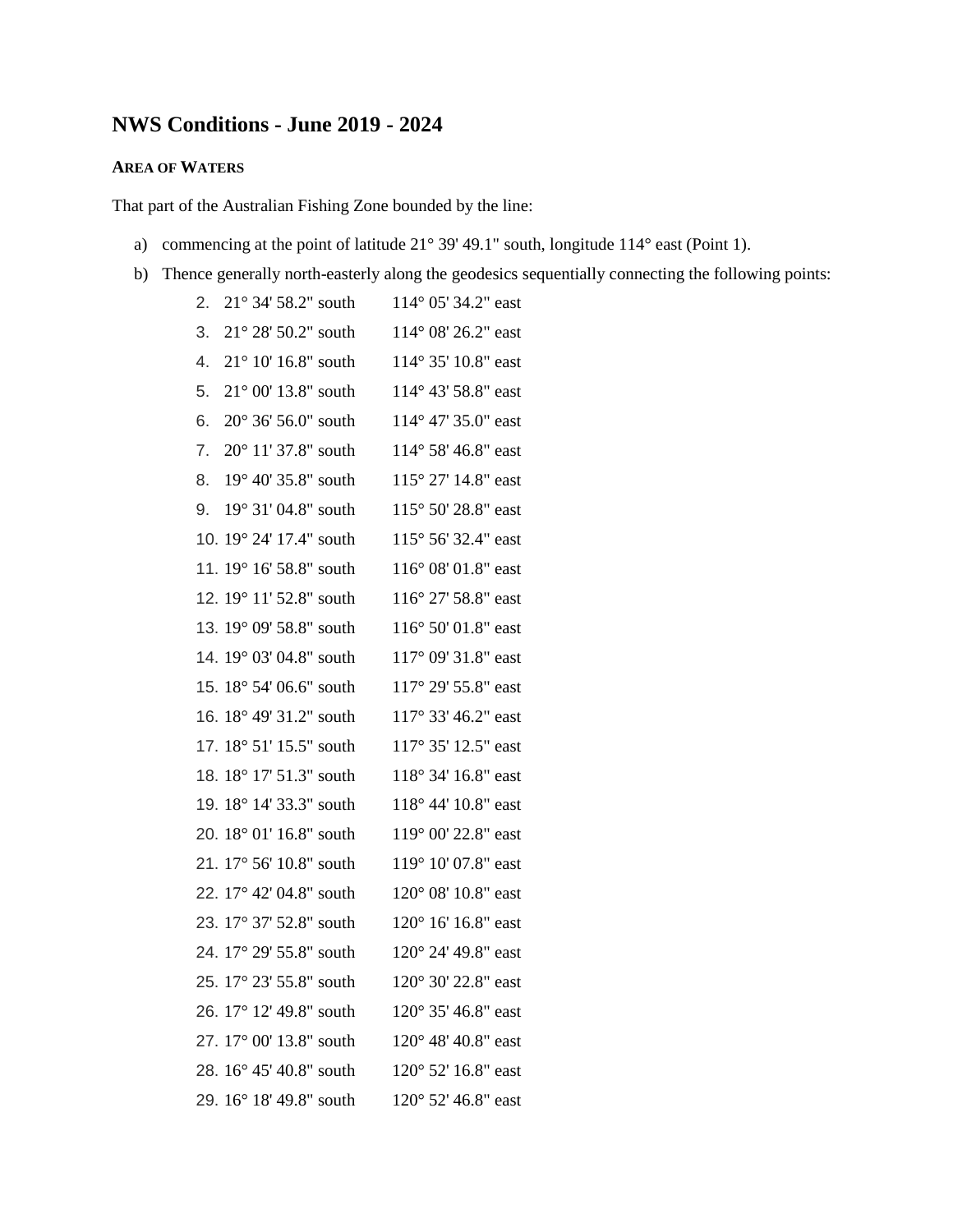# **NWS Conditions - June 2019 - 2024**

# **AREA OF WATERS**

That part of the Australian Fishing Zone bounded by the line:

- a) commencing at the point of latitude 21° 39' 49.1" south, longitude 114° east (Point 1).
- b) Thence generally north-easterly along the geodesics sequentially connecting the following points:

| 2. | $21^{\circ}$ 34' 58.2" south | 114° 05′ 34.2″ east          |
|----|------------------------------|------------------------------|
| 3. | 21° 28' 50.2" south          | 114° 08' 26.2" east          |
| 4. | $21^{\circ}$ 10' 16.8" south | 114° 35' 10.8" east          |
| 5. | 21° 00' 13.8" south          | 114° 43' 58.8" east          |
| 6. | 20° 36' 56.0" south          | 114° 47' 35.0" east          |
| 7. | 20° 11' 37.8" south          | 114° 58' 46.8" east          |
| 8. | 19° 40' 35.8" south          | 115° 27' 14.8" east          |
| 9. | 19° 31' 04.8" south          | 115° 50' 28.8" east          |
|    | 10. 19° 24' 17.4" south      | 115° 56' 32.4" east          |
|    | 11. 19° 16' 58.8" south      | 116° 08' 01.8" east          |
|    | 12. 19° 11′ 52.8" south      | 116° 27' 58.8" east          |
|    | 13. 19° 09' 58.8" south      | 116° 50' 01.8" east          |
|    | 14. 19° 03' 04.8" south      | 117° 09' 31.8" east          |
|    | 15. 18° 54' 06.6" south      | 117° 29' 55.8" east          |
|    | 16. 18° 49' 31.2" south      | 117° 33' 46.2" east          |
|    | 17. 18° 51' 15.5" south      | 117° 35' 12.5" east          |
|    | 18. 18° 17' 51.3" south      | 118° 34' 16.8" east          |
|    | 19. 18° 14' 33.3" south      | 118° 44' 10.8" east          |
|    | 20. 18° 01' 16.8" south      | 119° 00' 22.8" east          |
|    | 21. 17° 56' 10.8" south      | 119° 10' 07.8" east          |
|    | 22. 17° 42' 04.8" south      | 120° 08' 10.8" east          |
|    | 23. 17° 37' 52.8" south      | 120° 16' 16.8" east          |
|    | 24. 17° 29' 55.8" south      | 120° 24' 49.8" east          |
|    | 25. 17° 23' 55.8" south      | 120° 30' 22.8" east          |
|    | 26. 17° 12' 49.8" south      | $120^{\circ}$ 35' 46.8" east |
|    | 27. 17° 00' 13.8" south      | $120^{\circ}$ 48' 40.8" east |
|    | 28. 16° 45' 40.8" south      | $120^{\circ}$ 52' 16.8" east |
|    | 29. 16° 18' 49.8" south      | 120° 52′ 46.8" east          |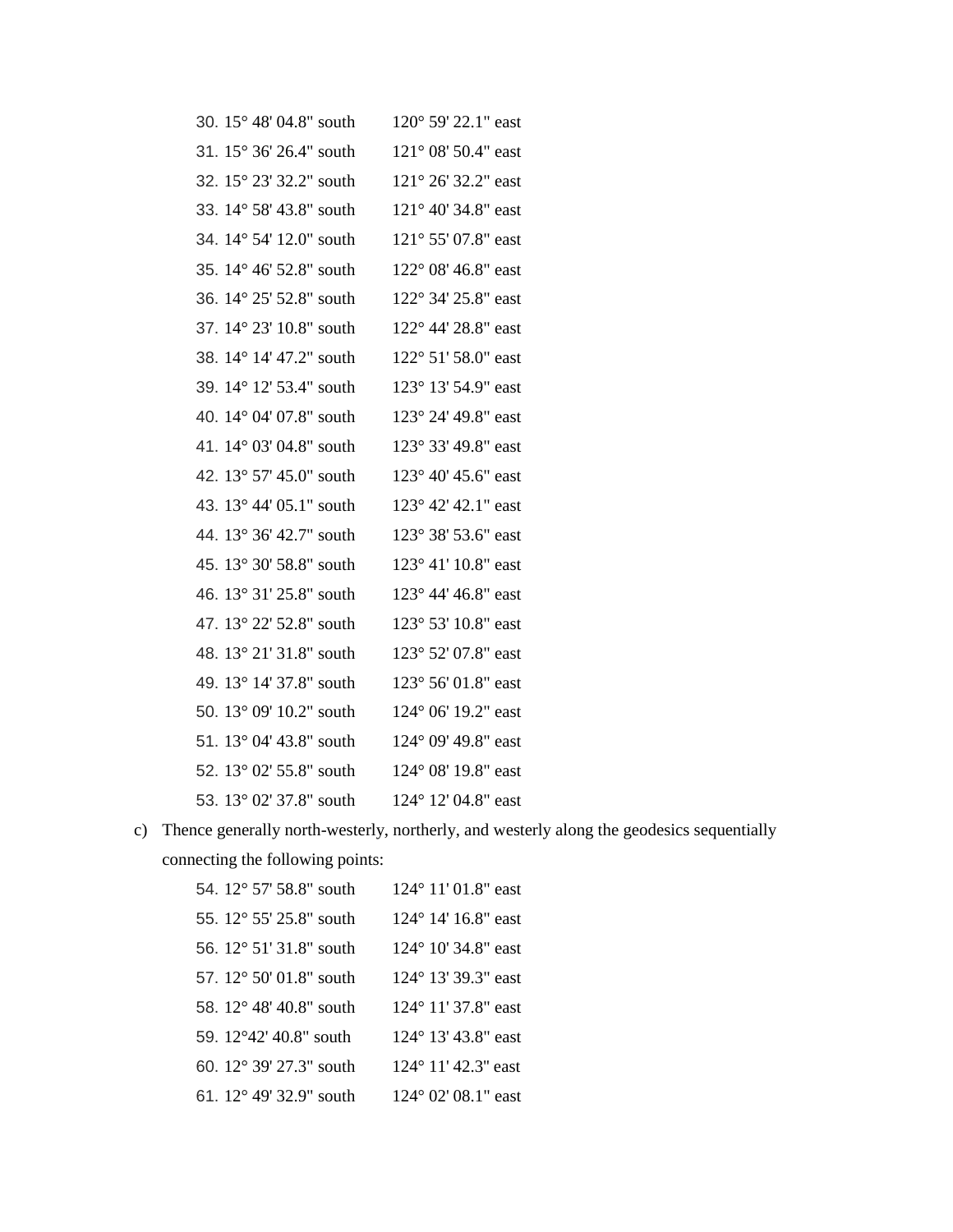| 30. 15° 48′ 04.8″ south | 120° 59′ 22.1″ east |
|-------------------------|---------------------|
| 31. 15° 36' 26.4" south | 121° 08' 50.4" east |
| 32. 15° 23' 32.2" south | 121° 26' 32.2" east |
| 33. 14° 58' 43.8" south | 121° 40' 34.8" east |
| 34. 14° 54' 12.0" south | 121° 55' 07.8" east |
| 35. 14° 46' 52.8" south | 122° 08' 46.8" east |
| 36. 14° 25' 52.8" south | 122° 34' 25.8" east |
| 37. 14° 23' 10.8" south | 122° 44' 28.8" east |
| 38. 14° 14' 47.2" south | 122° 51' 58.0" east |
| 39. 14° 12' 53.4" south | 123° 13′ 54.9" east |
| 40. 14° 04' 07.8" south | 123° 24' 49.8" east |
| 41. 14° 03' 04.8" south | 123° 33' 49.8" east |
| 42. 13° 57' 45.0" south | 123° 40' 45.6" east |
| 43. 13° 44′ 05.1" south | 123° 42' 42.1" east |
| 44. 13° 36' 42.7" south | 123° 38' 53.6" east |
| 45. 13° 30' 58.8" south | 123° 41' 10.8" east |
| 46. 13° 31' 25.8" south | 123° 44' 46.8" east |
| 47. 13° 22' 52.8" south | 123° 53' 10.8" east |
| 48. 13° 21' 31.8" south | 123° 52′ 07.8″ east |
| 49. 13° 14' 37.8" south | 123° 56' 01.8" east |
| 50. 13° 09' 10.2" south | 124° 06' 19.2" east |
| 51. 13° 04' 43.8" south | 124° 09' 49.8" east |
| 52. 13° 02' 55.8" south | 124° 08' 19.8" east |
| 53. 13° 02′ 37.8" south | 124° 12′ 04.8" east |
|                         |                     |

c) Thence generally north-westerly, northerly, and westerly along the geodesics sequentially connecting the following points:

| 54. 12° 57' 58.8" south | 124° 11' 01.8" east          |
|-------------------------|------------------------------|
| 55. 12° 55' 25.8" south | 124° 14′ 16.8" east          |
| 56. 12° 51' 31.8" south | $124^{\circ}$ 10' 34.8" east |
| 57. 12° 50' 01.8" south | 124° 13′ 39.3″ east          |
| 58. 12° 48' 40.8" south | 124° 11′ 37.8" east          |
| 59. 12°42′ 40.8" south  | $124^{\circ}$ 13' 43.8" east |
| 60. 12° 39' 27.3" south | 124° 11' 42.3" east          |
| 61. 12° 49' 32.9" south | 124° 02′ 08.1″ east          |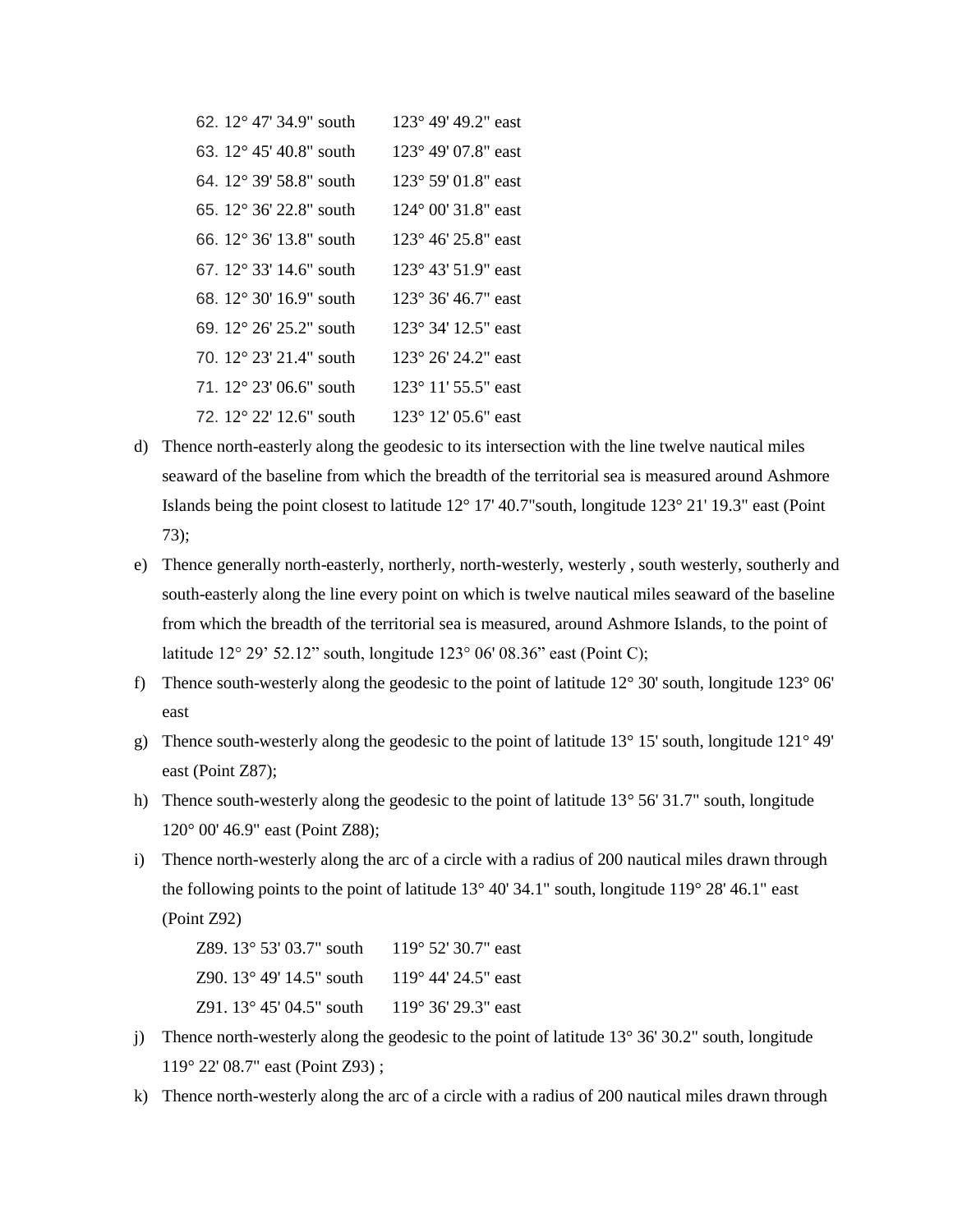| 62. 12° 47' 34.9" south                   | 123° 49′ 49.2″ east          |
|-------------------------------------------|------------------------------|
| 63. $12^{\circ}$ 45' 40.8" south          | 123° 49′ 07.8″ east          |
| 64. 12° 39′ 58.8″ south                   | 123° 59′ 01.8″ east          |
| 65. 12° 36' 22.8" south                   | 124° 00' 31.8" east          |
| 66. 12° 36' 13.8" south                   | 123° 46' 25.8" east          |
| 67. $12^{\circ}$ 33' $14.6^{\circ}$ south | $123^{\circ}$ 43' 51.9" east |
| 68. 12° 30' 16.9" south                   | 123° 36′ 46.7″ east          |
| 69. 12° 26′ 25.2″ south                   | 123° 34′ 12.5″ east          |
| 70. 12° 23′ 21.4″ south                   | 123° 26′ 24.2″ east          |
| 71. $12^{\circ}$ 23' 06.6" south          | 123° 11′ 55.5″ east          |
| 72. 12° 22' 12.6" south                   | 123° 12′ 05.6" east          |

- d) Thence north-easterly along the geodesic to its intersection with the line twelve nautical miles seaward of the baseline from which the breadth of the territorial sea is measured around Ashmore Islands being the point closest to latitude 12° 17' 40.7"south, longitude 123° 21' 19.3" east (Point 73);
- e) Thence generally north-easterly, northerly, north-westerly, westerly , south westerly, southerly and south-easterly along the line every point on which is twelve nautical miles seaward of the baseline from which the breadth of the territorial sea is measured, around Ashmore Islands, to the point of latitude 12° 29' 52.12" south, longitude 123° 06' 08.36" east (Point C);
- f) Thence south-westerly along the geodesic to the point of latitude 12° 30' south, longitude 123° 06' east
- g) Thence south-westerly along the geodesic to the point of latitude 13° 15' south, longitude 121° 49' east (Point Z87);
- h) Thence south-westerly along the geodesic to the point of latitude  $13^{\circ}$  56' 31.7" south, longitude 120° 00' 46.9" east (Point Z88);
- i) Thence north-westerly along the arc of a circle with a radius of 200 nautical miles drawn through the following points to the point of latitude  $13^{\circ}$  40' 34.1" south, longitude  $119^{\circ}$  28' 46.1" east (Point Z92)

Z89. 13° 53' 03.7" south 119° 52' 30.7" east Z90. 13° 49' 14.5" south 119° 44' 24.5" east Z91. 13° 45' 04.5" south 119° 36' 29.3" east

- j) Thence north-westerly along the geodesic to the point of latitude  $13^{\circ} 36' 30.2"$  south, longitude 119° 22' 08.7" east (Point Z93) ;
- k) Thence north-westerly along the arc of a circle with a radius of 200 nautical miles drawn through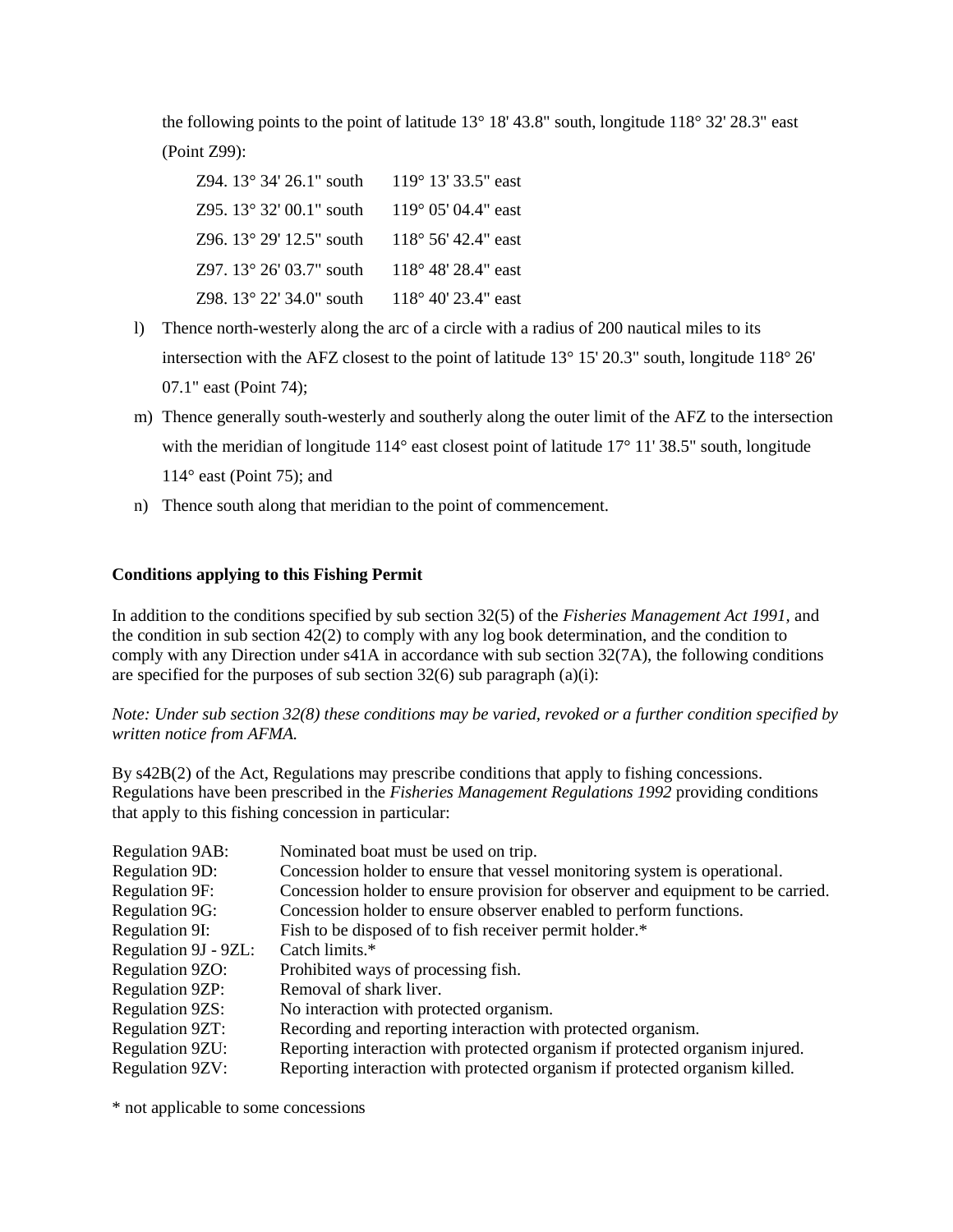the following points to the point of latitude  $13^{\circ}$  18' 43.8" south, longitude  $118^{\circ}$  32' 28.3" east (Point Z99):

| Z94. $13^{\circ}$ 34' 26.1" south | $119^{\circ}$ 13' 33.5" east |
|-----------------------------------|------------------------------|
| Z95. 13° 32′ 00.1" south          | $119^{\circ}$ 05' 04.4" east |
| Z96. 13° 29' 12.5" south          | $118^{\circ}$ 56' 42.4" east |
| Z97. 13° 26' 03.7" south          | 118° 48′ 28.4″ east          |
| Z98. 13° 22' 34.0" south          | $118^{\circ}$ 40' 23.4" east |

- l) Thence north-westerly along the arc of a circle with a radius of 200 nautical miles to its intersection with the AFZ closest to the point of latitude 13° 15' 20.3" south, longitude 118° 26' 07.1" east (Point 74);
- m) Thence generally south-westerly and southerly along the outer limit of the AFZ to the intersection with the meridian of longitude 114° east closest point of latitude 17° 11' 38.5" south, longitude  $114^\circ$  east (Point 75); and
- n) Thence south along that meridian to the point of commencement.

# **Conditions applying to this Fishing Permit**

In addition to the conditions specified by sub section 32(5) of the *Fisheries Management Act 1991,* and the condition in sub section 42(2) to comply with any log book determination, and the condition to comply with any Direction under s41A in accordance with sub section 32(7A), the following conditions are specified for the purposes of sub section  $32(6)$  sub paragraph (a)(i):

*Note: Under sub section 32(8) these conditions may be varied, revoked or a further condition specified by written notice from AFMA.*

By s42B(2) of the Act, Regulations may prescribe conditions that apply to fishing concessions. Regulations have been prescribed in the *Fisheries Management Regulations 1992* providing conditions that apply to this fishing concession in particular:

| <b>Regulation 9AB:</b> | Nominated boat must be used on trip.                                            |
|------------------------|---------------------------------------------------------------------------------|
| <b>Regulation 9D:</b>  | Concession holder to ensure that vessel monitoring system is operational.       |
| Regulation 9F:         | Concession holder to ensure provision for observer and equipment to be carried. |
| Regulation 9G:         | Concession holder to ensure observer enabled to perform functions.              |
| Regulation 9I:         | Fish to be disposed of to fish receiver permit holder.*                         |
| Regulation 9J - 9ZL:   | Catch limits.*                                                                  |
| Regulation 9ZO:        | Prohibited ways of processing fish.                                             |
| <b>Regulation 9ZP:</b> | Removal of shark liver.                                                         |
| <b>Regulation 9ZS:</b> | No interaction with protected organism.                                         |
| <b>Regulation 9ZT:</b> | Recording and reporting interaction with protected organism.                    |
| Regulation 9ZU:        | Reporting interaction with protected organism if protected organism injured.    |
| <b>Regulation 9ZV:</b> | Reporting interaction with protected organism if protected organism killed.     |

\* not applicable to some concessions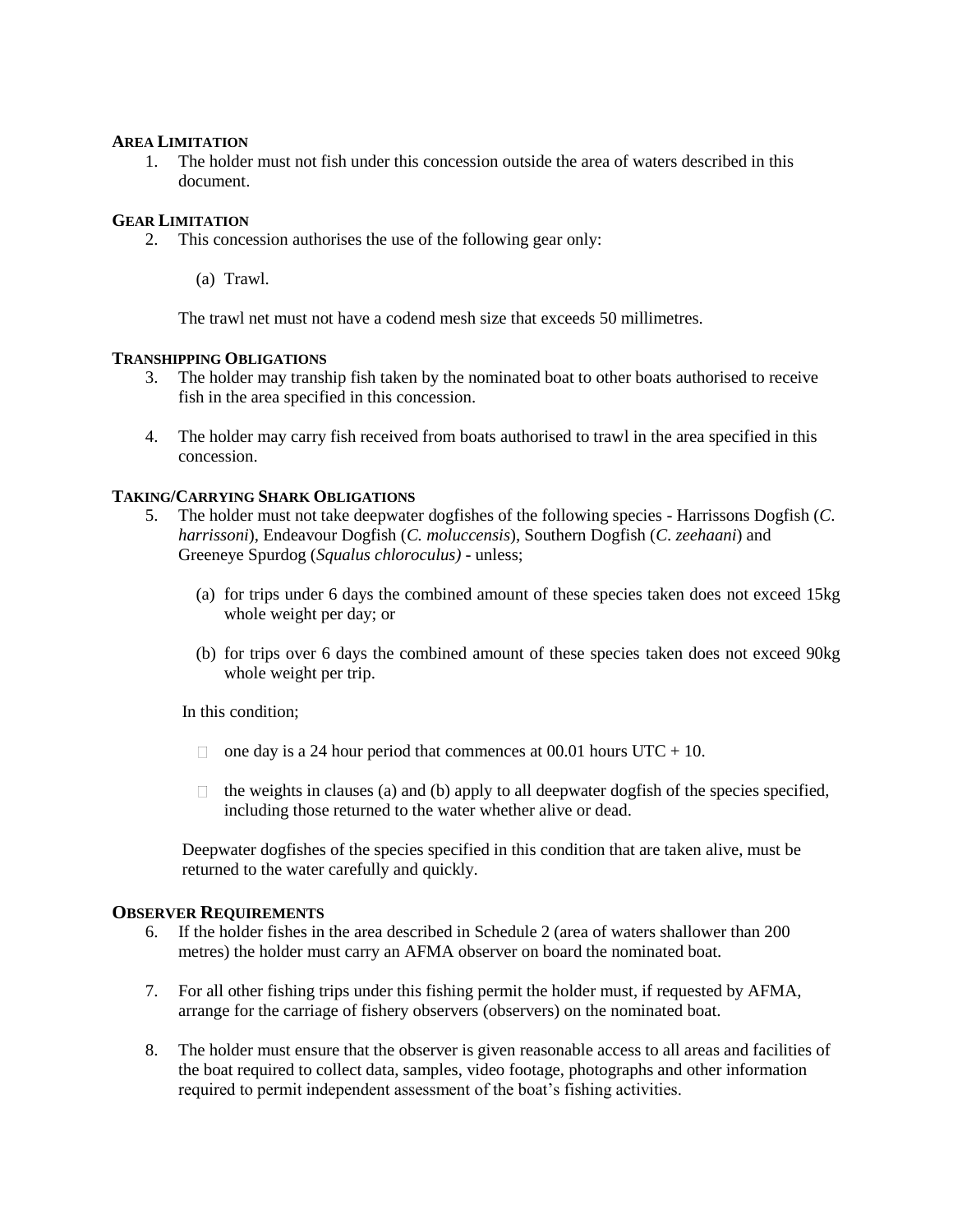#### **AREA LIMITATION**

1. The holder must not fish under this concession outside the area of waters described in this document.

#### **GEAR LIMITATION**

- 2. This concession authorises the use of the following gear only:
	- (a) Trawl.

The trawl net must not have a codend mesh size that exceeds 50 millimetres.

#### **TRANSHIPPING OBLIGATIONS**

- 3. The holder may tranship fish taken by the nominated boat to other boats authorised to receive fish in the area specified in this concession.
- 4. The holder may carry fish received from boats authorised to trawl in the area specified in this concession.

#### **TAKING/CARRYING SHARK OBLIGATIONS**

- 5. The holder must not take deepwater dogfishes of the following species Harrissons Dogfish (*C*. *harrissoni*), Endeavour Dogfish (*C. moluccensis*), Southern Dogfish (*C*. *zeehaani*) and Greeneye Spurdog (*Squalus chloroculus)* - unless;
	- (a) for trips under 6 days the combined amount of these species taken does not exceed 15kg whole weight per day; or
	- (b) for trips over 6 days the combined amount of these species taken does not exceed 90kg whole weight per trip.

In this condition;

- $\Box$  one day is a 24 hour period that commences at 00.01 hours UTC + 10.
- $\Box$  the weights in clauses (a) and (b) apply to all deepwater dogfish of the species specified, including those returned to the water whether alive or dead.

Deepwater dogfishes of the species specified in this condition that are taken alive, must be returned to the water carefully and quickly.

#### **OBSERVER REQUIREMENTS**

- 6. If the holder fishes in the area described in Schedule 2 (area of waters shallower than 200 metres) the holder must carry an AFMA observer on board the nominated boat.
- 7. For all other fishing trips under this fishing permit the holder must, if requested by AFMA, arrange for the carriage of fishery observers (observers) on the nominated boat.
- 8. The holder must ensure that the observer is given reasonable access to all areas and facilities of the boat required to collect data, samples, video footage, photographs and other information required to permit independent assessment of the boat's fishing activities.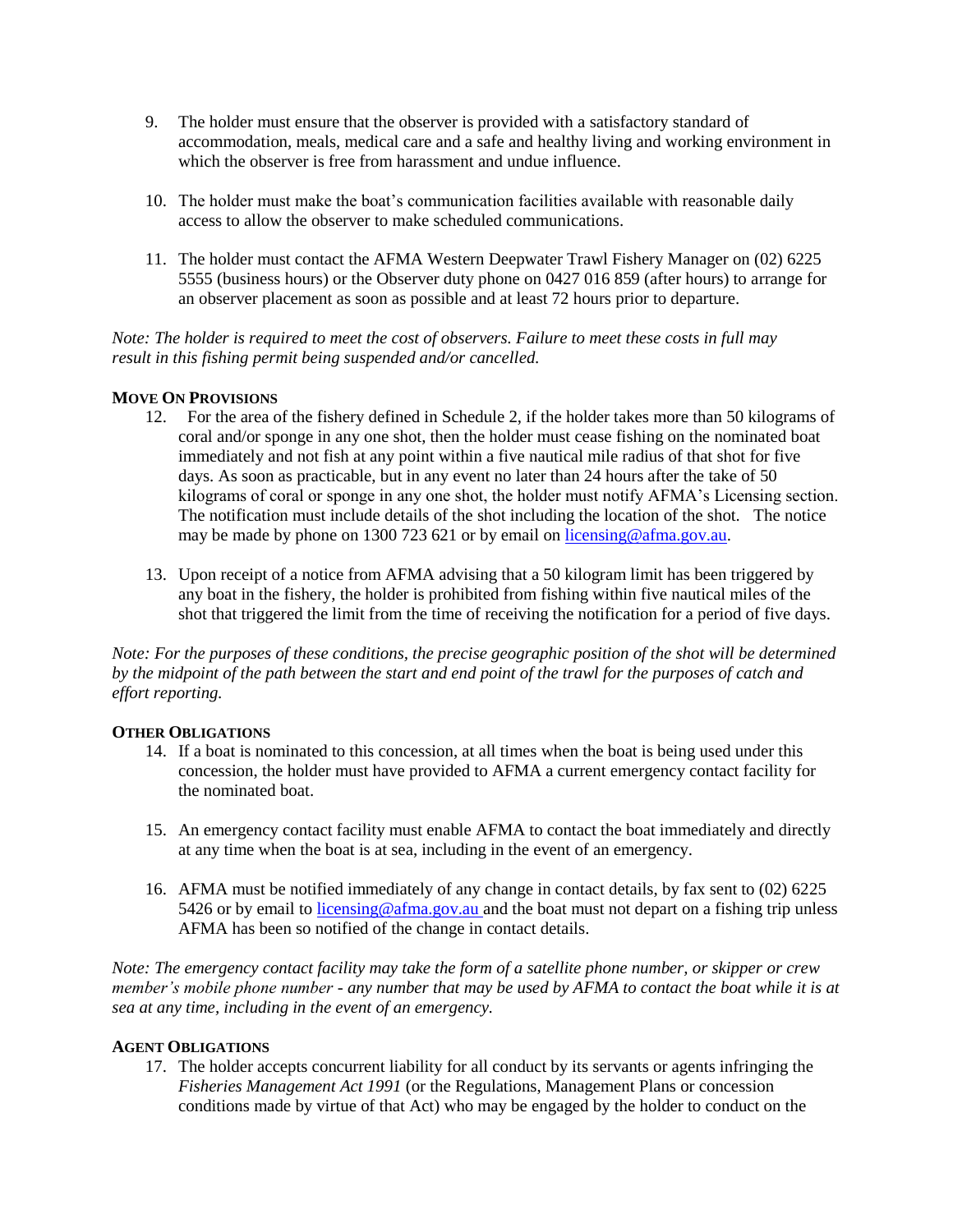- 9. The holder must ensure that the observer is provided with a satisfactory standard of accommodation, meals, medical care and a safe and healthy living and working environment in which the observer is free from harassment and undue influence.
- 10. The holder must make the boat's communication facilities available with reasonable daily access to allow the observer to make scheduled communications.
- 11. The holder must contact the AFMA Western Deepwater Trawl Fishery Manager on (02) 6225 5555 (business hours) or the Observer duty phone on 0427 016 859 (after hours) to arrange for an observer placement as soon as possible and at least 72 hours prior to departure.

*Note: The holder is required to meet the cost of observers. Failure to meet these costs in full may result in this fishing permit being suspended and/or cancelled.*

#### **MOVE ON PROVISIONS**

- 12. For the area of the fishery defined in Schedule 2, if the holder takes more than 50 kilograms of coral and/or sponge in any one shot, then the holder must cease fishing on the nominated boat immediately and not fish at any point within a five nautical mile radius of that shot for five days. As soon as practicable, but in any event no later than 24 hours after the take of 50 kilograms of coral or sponge in any one shot, the holder must notify AFMA's Licensing section. The notification must include details of the shot including the location of the shot. The notice may be made by phone on 1300 723 621 or by email on licensing@afma.gov.au.
- 13. Upon receipt of a notice from AFMA advising that a 50 kilogram limit has been triggered by any boat in the fishery, the holder is prohibited from fishing within five nautical miles of the shot that triggered the limit from the time of receiving the notification for a period of five days.

*Note: For the purposes of these conditions, the precise geographic position of the shot will be determined by the midpoint of the path between the start and end point of the trawl for the purposes of catch and effort reporting.* 

#### **OTHER OBLIGATIONS**

- 14. If a boat is nominated to this concession, at all times when the boat is being used under this concession, the holder must have provided to AFMA a current emergency contact facility for the nominated boat.
- 15. An emergency contact facility must enable AFMA to contact the boat immediately and directly at any time when the boat is at sea, including in the event of an emergency.
- 16. AFMA must be notified immediately of any change in contact details, by fax sent to (02) 6225 5426 or by email to licensing@afma.gov.au and the boat must not depart on a fishing trip unless AFMA has been so notified of the change in contact details.

*Note: The emergency contact facility may take the form of a satellite phone number, or skipper or crew member's mobile phone number - any number that may be used by AFMA to contact the boat while it is at sea at any time, including in the event of an emergency.* 

#### **AGENT OBLIGATIONS**

17. The holder accepts concurrent liability for all conduct by its servants or agents infringing the *Fisheries Management Act 1991* (or the Regulations, Management Plans or concession conditions made by virtue of that Act) who may be engaged by the holder to conduct on the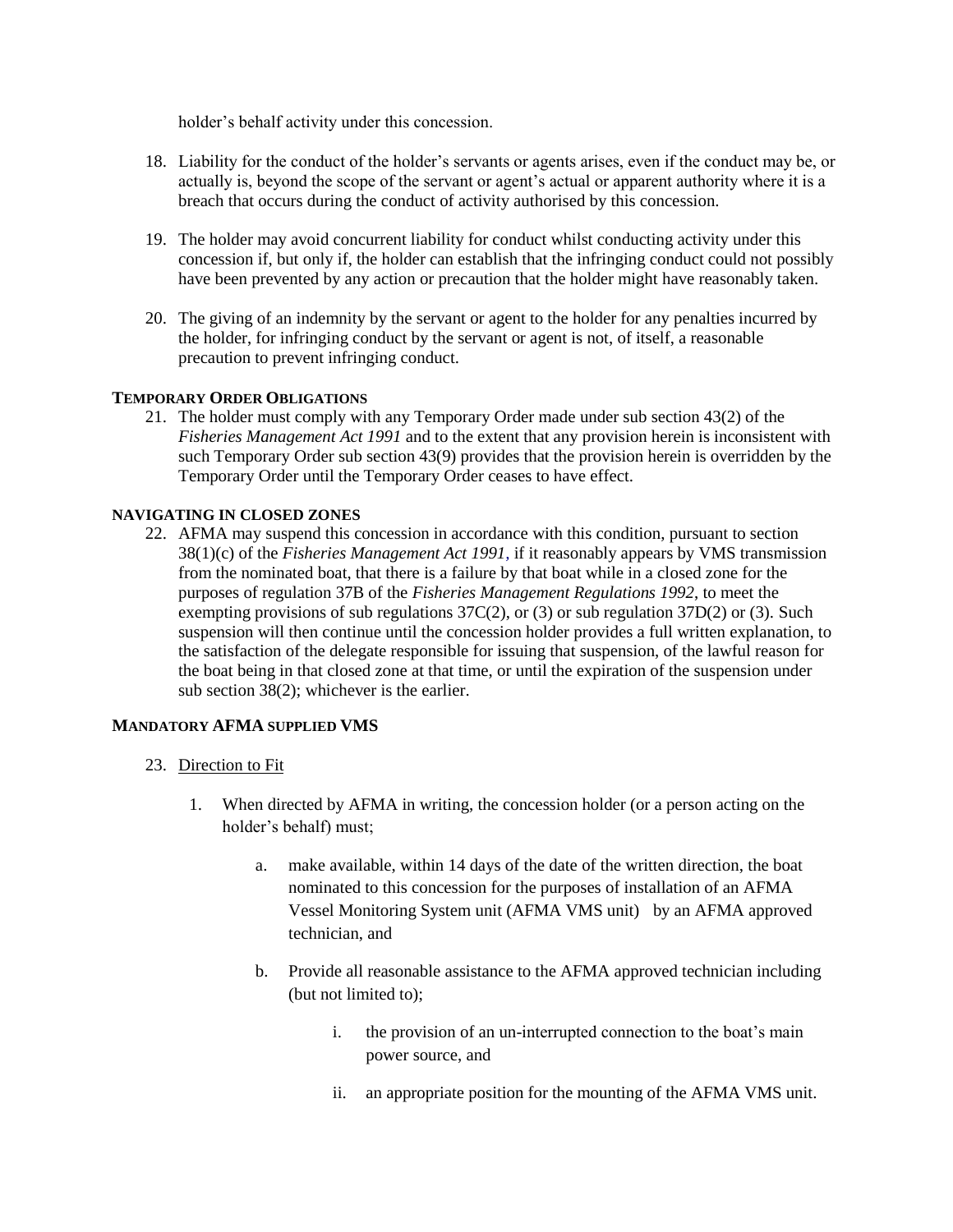holder's behalf activity under this concession.

- 18. Liability for the conduct of the holder's servants or agents arises, even if the conduct may be, or actually is, beyond the scope of the servant or agent's actual or apparent authority where it is a breach that occurs during the conduct of activity authorised by this concession.
- 19. The holder may avoid concurrent liability for conduct whilst conducting activity under this concession if, but only if, the holder can establish that the infringing conduct could not possibly have been prevented by any action or precaution that the holder might have reasonably taken.
- 20. The giving of an indemnity by the servant or agent to the holder for any penalties incurred by the holder, for infringing conduct by the servant or agent is not, of itself, a reasonable precaution to prevent infringing conduct.

#### **TEMPORARY ORDER OBLIGATIONS**

21. The holder must comply with any Temporary Order made under sub section 43(2) of the *Fisheries Management Act 1991* and to the extent that any provision herein is inconsistent with such Temporary Order sub section 43(9) provides that the provision herein is overridden by the Temporary Order until the Temporary Order ceases to have effect*.*

#### **NAVIGATING IN CLOSED ZONES**

22. AFMA may suspend this concession in accordance with this condition, pursuant to section 38(1)(c) of the *Fisheries Management Act 1991,* if it reasonably appears by VMS transmission from the nominated boat, that there is a failure by that boat while in a closed zone for the purposes of regulation 37B of the *Fisheries Management Regulations 1992*, to meet the exempting provisions of sub regulations 37C(2), or (3) or sub regulation 37D(2) or (3)*.* Such suspension will then continue until the concession holder provides a full written explanation, to the satisfaction of the delegate responsible for issuing that suspension, of the lawful reason for the boat being in that closed zone at that time, or until the expiration of the suspension under sub section 38(2); whichever is the earlier.

#### **MANDATORY AFMA SUPPLIED VMS**

- 23. Direction to Fit
	- 1. When directed by AFMA in writing, the concession holder (or a person acting on the holder's behalf) must;
		- a. make available, within 14 days of the date of the written direction, the boat nominated to this concession for the purposes of installation of an AFMA Vessel Monitoring System unit (AFMA VMS unit) by an AFMA approved technician, and
		- b. Provide all reasonable assistance to the AFMA approved technician including (but not limited to);
			- i. the provision of an un-interrupted connection to the boat's main power source, and
			- ii. an appropriate position for the mounting of the AFMA VMS unit.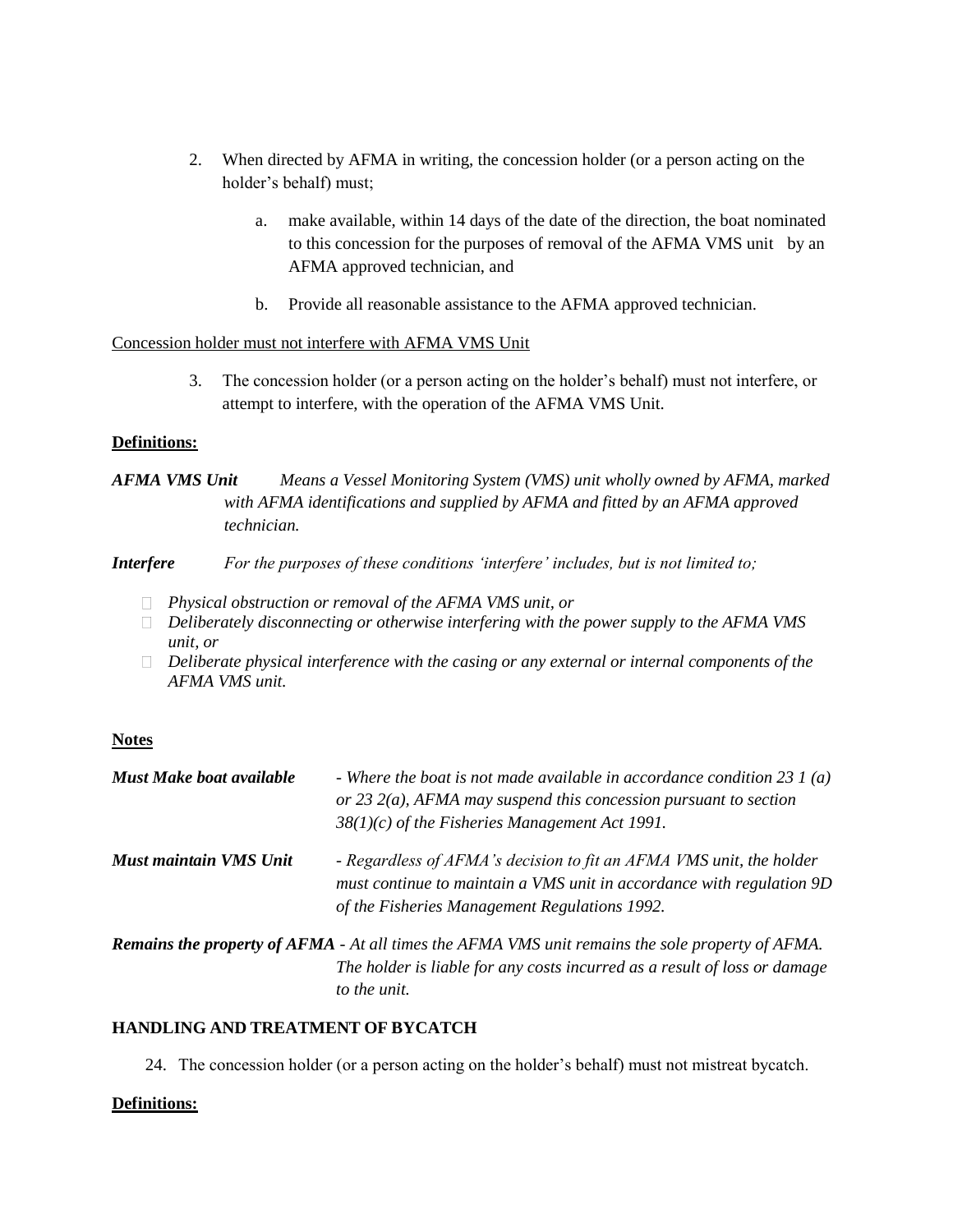- 2. When directed by AFMA in writing, the concession holder (or a person acting on the holder's behalf) must;
	- a. make available, within 14 days of the date of the direction, the boat nominated to this concession for the purposes of removal of the AFMA VMS unit by an AFMA approved technician, and
	- b. Provide all reasonable assistance to the AFMA approved technician.

#### Concession holder must not interfere with AFMA VMS Unit

3. The concession holder (or a person acting on the holder's behalf) must not interfere, or attempt to interfere, with the operation of the AFMA VMS Unit.

# **Definitions:**

# *AFMA VMS Unit Means a Vessel Monitoring System (VMS) unit wholly owned by AFMA, marked with AFMA identifications and supplied by AFMA and fitted by an AFMA approved technician.*

# *Interfere For the purposes of these conditions 'interfere' includes, but is not limited to;*

- *Physical obstruction or removal of the AFMA VMS unit, or*
- *Deliberately disconnecting or otherwise interfering with the power supply to the AFMA VMS unit, or*
- *Deliberate physical interference with the casing or any external or internal components of the AFMA VMS unit.*

# **Notes**

| $38(1)(c)$ of the Fisheries Management Act 1991.                                                                                                                                              |
|-----------------------------------------------------------------------------------------------------------------------------------------------------------------------------------------------|
| - Regardless of AFMA's decision to fit an AFMA VMS unit, the holder<br>must continue to maintain a VMS unit in accordance with regulation 9D<br>of the Fisheries Management Regulations 1992. |
| <b>Remains the property of AFMA</b> - At all times the AFMA VMS unit remains the sole property of AFMA.<br>The holder is liable for any costs incurred as a result of loss or damage          |
|                                                                                                                                                                                               |

#### *to the unit.*

# **HANDLING AND TREATMENT OF BYCATCH**

24. The concession holder (or a person acting on the holder's behalf) must not mistreat bycatch.

# **Definitions:**